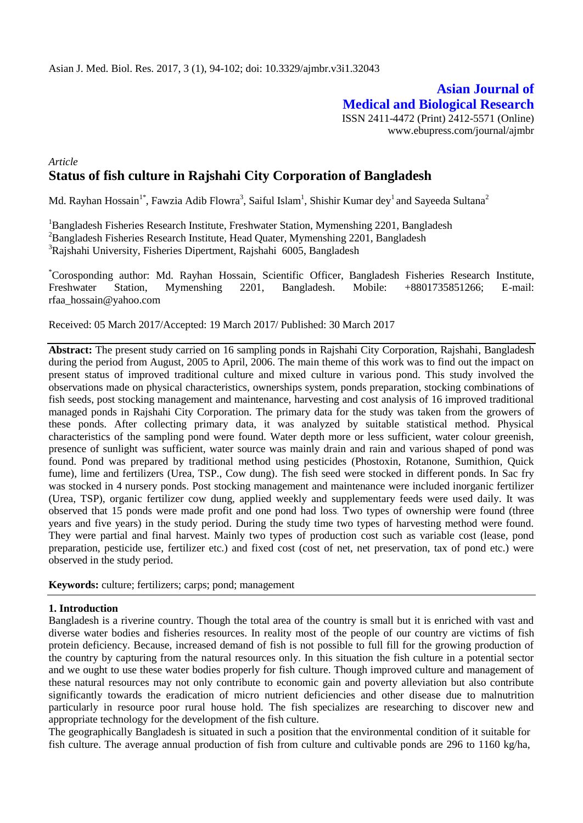**Asian Journal of Medical and Biological Research** ISSN 2411-4472 (Print) 2412-5571 (Online) www.ebupress.com/journal/ajmbr

# *Article* **Status of fish culture in Rajshahi City Corporation of Bangladesh**

Md. Rayhan Hossain $^{\text{1*}}$ , Fawzia Adib Flowra $^{\text{3}}$ , Saiful Islam $^{\text{1}}$ , Shishir Kumar dey $^{\text{1}}$  and Sayeeda Sultana $^{\text{2}}$ 

<sup>1</sup>Bangladesh Fisheries Research Institute, Freshwater Station, Mymenshing 2201, Bangladesh <sup>2</sup>Bangladesh Fisheries Research Institute, Head Quater, Mymenshing 2201, Bangladesh <sup>3</sup>Rajshahi University, Fisheries Dipertment, Rajshahi 6005, Bangladesh

\*Corosponding author: Md. Rayhan Hossain, Scientific Officer, Bangladesh Fisheries Research Institute, Freshwater Station, Mymenshing 2201, Bangladesh. Mobile: +8801735851266; E-mail: [rfaa\\_hossain@yahoo.com](mailto:rfaa_hossain@yahoo.com)

Received: 05 March 2017/Accepted: 19 March 2017/ Published: 30 March 2017

**Abstract:** The present study carried on 16 sampling ponds in Rajshahi City Corporation, Rajshahi, Bangladesh during the period from August, 2005 to April, 2006. The main theme of this work was to find out the impact on present status of improved traditional culture and mixed culture in various pond. This study involved the observations made on physical characteristics, ownerships system, ponds preparation, stocking combinations of fish seeds, post stocking management and maintenance, harvesting and cost analysis of 16 improved traditional managed ponds in Rajshahi City Corporation. The primary data for the study was taken from the growers of these ponds. After collecting primary data, it was analyzed by suitable statistical method. Physical characteristics of the sampling pond were found. Water depth more or less sufficient, water colour greenish, presence of sunlight was sufficient, water source was mainly drain and rain and various shaped of pond was found. Pond was prepared by traditional method using pesticides (Phostoxin, Rotanone, Sumithion, Quick fume), lime and fertilizers (Urea, TSP., Cow dung). The fish seed were stocked in different ponds. In Sac fry was stocked in 4 nursery ponds. Post stocking management and maintenance were included inorganic fertilizer (Urea, TSP), organic fertilizer cow dung, applied weekly and supplementary feeds were used daily. It was observed that 15 ponds were made profit and one pond had loss. Two types of ownership were found (three years and five years) in the study period. During the study time two types of harvesting method were found. They were partial and final harvest. Mainly two types of production cost such as variable cost (lease, pond preparation, pesticide use, fertilizer etc.) and fixed cost (cost of net, net preservation, tax of pond etc.) were observed in the study period.

**Keywords:** culture; fertilizers; carps; pond; management

## **1. Introduction**

Bangladesh is a riverine country. Though the total area of the country is small but it is enriched with vast and diverse water bodies and fisheries resources. In reality most of the people of our country are victims of fish protein deficiency. Because, increased demand of fish is not possible to full fill for the growing production of the country by capturing from the natural resources only. In this situation the fish culture in a potential sector and we ought to use these water bodies properly for fish culture. Though improved culture and management of these natural resources may not only contribute to economic gain and poverty alleviation but also contribute significantly towards the eradication of micro nutrient deficiencies and other disease due to malnutrition particularly in resource poor rural house hold. The fish specializes are researching to discover new and appropriate technology for the development of the fish culture.

The geographically Bangladesh is situated in such a position that the environmental condition of it suitable for fish culture. The average annual production of fish from culture and cultivable ponds are 296 to 1160 kg/ha,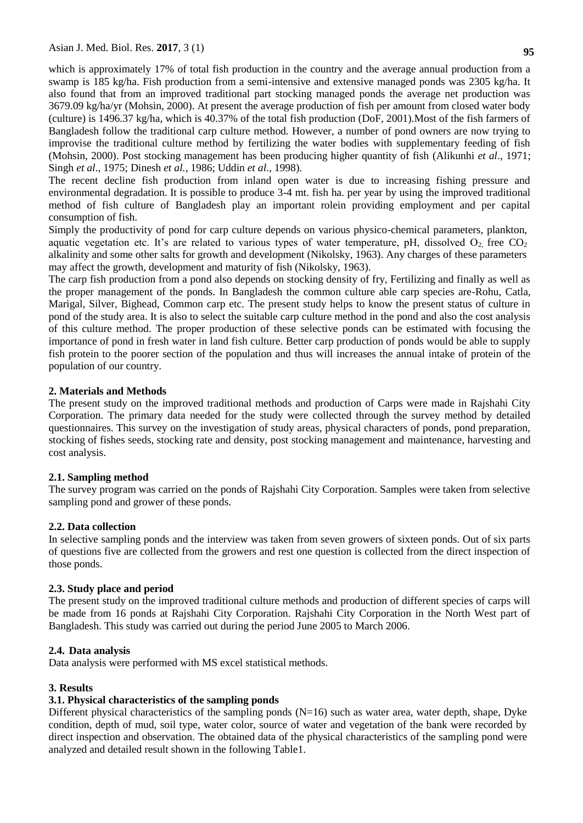which is approximately 17% of total fish production in the country and the average annual production from a swamp is 185 kg/ha. Fish production from a semi-intensive and extensive managed ponds was 2305 kg/ha. It also found that from an improved traditional part stocking managed ponds the average net production was 3679.09 kg/ha/yr (Mohsin, 2000). At present the average production of fish per amount from closed water body (culture) is 1496.37 kg/ha, which is 40.37% of the total fish production (DoF, 2001).Most of the fish farmers of Bangladesh follow the traditional carp culture method. However, a number of pond owners are now trying to improvise the traditional culture method by fertilizing the water bodies with supplementary feeding of fish (Mohsin, 2000). Post stocking management has been producing higher quantity of fish (Alikunhi *et al*., 1971; Singh *et al*., 1975; Dinesh *et al.,* 1986; Uddin *et al.,* 1998).

The recent decline fish production from inland open water is due to increasing fishing pressure and environmental degradation. It is possible to produce 3-4 mt. fish ha. per year by using the improved traditional method of fish culture of Bangladesh play an important rolein providing employment and per capital consumption of fish.

Simply the productivity of pond for carp culture depends on various physico-chemical parameters, plankton, aquatic vegetation etc. It's are related to various types of water temperature, pH, dissolved  $O<sub>2</sub>$  free CO<sub>2</sub> alkalinity and some other salts for growth and development (Nikolsky, 1963). Any charges of these parameters may affect the growth, development and maturity of fish (Nikolsky, 1963).

The carp fish production from a pond also depends on stocking density of fry, Fertilizing and finally as well as the proper management of the ponds. In Bangladesh the common culture able carp species are-Rohu, Catla, Marigal, Silver, Bighead, Common carp etc. The present study helps to know the present status of culture in pond of the study area. It is also to select the suitable carp culture method in the pond and also the cost analysis of this culture method. The proper production of these selective ponds can be estimated with focusing the importance of pond in fresh water in land fish culture. Better carp production of ponds would be able to supply fish protein to the poorer section of the population and thus will increases the annual intake of protein of the population of our country.

## **2. Materials and Methods**

The present study on the improved traditional methods and production of Carps were made in Rajshahi City Corporation. The primary data needed for the study were collected through the survey method by detailed questionnaires. This survey on the investigation of study areas, physical characters of ponds, pond preparation, stocking of fishes seeds, stocking rate and density, post stocking management and maintenance, harvesting and cost analysis.

## **2.1. Sampling method**

The survey program was carried on the ponds of Rajshahi City Corporation. Samples were taken from selective sampling pond and grower of these ponds.

## **2.2. Data collection**

In selective sampling ponds and the interview was taken from seven growers of sixteen ponds. Out of six parts of questions five are collected from the growers and rest one question is collected from the direct inspection of those ponds.

## **2.3. Study place and period**

The present study on the improved traditional culture methods and production of different species of carps will be made from 16 ponds at Rajshahi City Corporation. Rajshahi City Corporation in the North West part of Bangladesh. This study was carried out during the period June 2005 to March 2006.

## **2.4. Data analysis**

Data analysis were performed with MS excel statistical methods.

## **3. Results**

# **3.1. Physical characteristics of the sampling ponds**

Different physical characteristics of the sampling ponds  $(N=16)$  such as water area, water depth, shape, Dyke condition, depth of mud, soil type, water color, source of water and vegetation of the bank were recorded by direct inspection and observation. The obtained data of the physical characteristics of the sampling pond were analyzed and detailed result shown in the following Table1.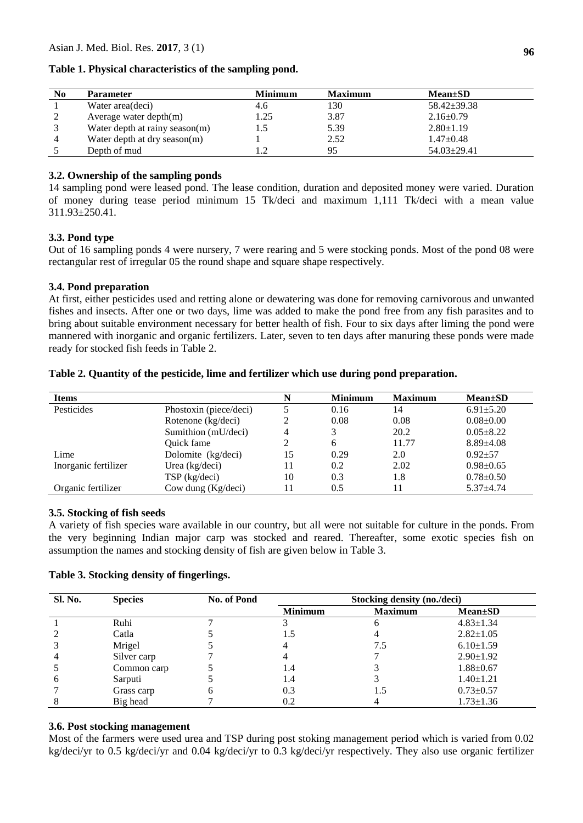Asian J. Med. Biol. Res. **2017**, 3 (1)

| N <sub>0</sub> | <b>Parameter</b>               | <b>Minimum</b> | <b>Maximum</b> | $Mean \pm SD$     |
|----------------|--------------------------------|----------------|----------------|-------------------|
|                | Water area(deci)               | 4.6            | 130            | $58.42 \pm 39.38$ |
|                | Average water depth $(m)$      | 1.25           | 3.87           | $2.16 \pm 0.79$   |
|                | Water depth at rainy season(m) |                | 5.39           | $2.80 \pm 1.19$   |
|                | Water depth at dry season(m)   |                | 2.52           | $1.47+0.48$       |
|                | Depth of mud                   |                | 95             | $54.03 \pm 29.41$ |

## **Table 1. Physical characteristics of the sampling pond.**

## **3.2. Ownership of the sampling ponds**

14 sampling pond were leased pond. The lease condition, duration and deposited money were varied. Duration of money during tease period minimum 15 Tk/deci and maximum 1,111 Tk/deci with a mean value 311.93±250.41.

#### **3.3. Pond type**

Out of 16 sampling ponds 4 were nursery, 7 were rearing and 5 were stocking ponds. Most of the pond 08 were rectangular rest of irregular 05 the round shape and square shape respectively.

#### **3.4. Pond preparation**

At first, either pesticides used and retting alone or dewatering was done for removing carnivorous and unwanted fishes and insects. After one or two days, lime was added to make the pond free from any fish parasites and to bring about suitable environment necessary for better health of fish. Four to six days after liming the pond were mannered with inorganic and organic fertilizers. Later, seven to ten days after manuring these ponds were made ready for stocked fish feeds in Table 2.

| <b>Items</b>         |                        |    | <b>Minimum</b> | <b>Maximum</b> | $Mean \pm SD$   |
|----------------------|------------------------|----|----------------|----------------|-----------------|
| Pesticides           | Phostoxin (piece/deci) |    | 0.16           | 14             | $6.91 \pm 5.20$ |
|                      | Rotenone (kg/deci)     |    | 0.08           | 0.08           | $0.08 \pm 0.00$ |
|                      | Sumithion (mU/deci)    | 4  | 3              | 20.2           | $0.05 \pm 8.22$ |
|                      | Quick fame             |    | 6              | 11.77          | $8.89{\pm}4.08$ |
| Lime                 | Dolomite (kg/deci)     | 15 | 0.29           | 2.0            | $0.92 + 57$     |
| Inorganic fertilizer | Urea (kg/deci)         | 11 | 0.2            | 2.02           | $0.98 \pm 0.65$ |
|                      | TSP (kg/deci)          | 10 | 0.3            | 1.8            | $0.78 \pm 0.50$ |
| Organic fertilizer   | Cow dung (Kg/deci)     |    | 0.5            |                | $5.37 + 4.74$   |

#### **Table 2. Quantity of the pesticide, lime and fertilizer which use during pond preparation.**

#### **3.5. Stocking of fish seeds**

A variety of fish species ware available in our country, but all were not suitable for culture in the ponds. From the very beginning Indian major carp was stocked and reared. Thereafter, some exotic species fish on assumption the names and stocking density of fish are given below in Table 3.

| Table 3. Stocking density of fingerlings. |  |  |  |  |  |
|-------------------------------------------|--|--|--|--|--|
|-------------------------------------------|--|--|--|--|--|

| <b>Sl. No.</b> | <b>Species</b> | No. of Pond | Stocking density (no./deci) |                |                 |  |
|----------------|----------------|-------------|-----------------------------|----------------|-----------------|--|
|                |                |             | <b>Minimum</b>              | <b>Maximum</b> | <b>Mean</b> ±SD |  |
|                | Ruhi           |             |                             | h              | $4.83 \pm 1.34$ |  |
|                | Catla          |             | 1.5                         |                | $2.82 \pm 1.05$ |  |
|                | Mrigel         |             |                             | 7.5            | $6.10 \pm 1.59$ |  |
|                | Silver carp    |             |                             |                | $2.90 \pm 1.92$ |  |
|                | Common carp    |             | 1.4                         |                | $1.88 + 0.67$   |  |
| <sub>b</sub>   | Sarputi        |             | 1.4                         |                | $1.40 \pm 1.21$ |  |
|                | Grass carp     |             | 0.3                         | 1.5            | $0.73 \pm 0.57$ |  |
|                | Big head       |             | 0.2                         |                | $1.73 \pm 1.36$ |  |

#### **3.6. Post stocking management**

Most of the farmers were used urea and TSP during post stoking management period which is varied from 0.02 kg/deci/yr to 0.5 kg/deci/yr and 0.04 kg/deci/yr to 0.3 kg/deci/yr respectively. They also use organic fertilizer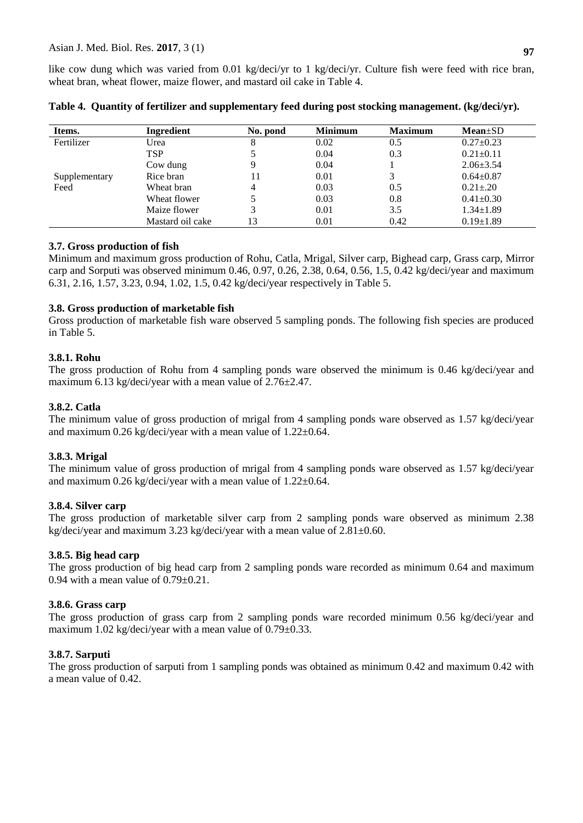like cow dung which was varied from 0.01 kg/deci/yr to 1 kg/deci/yr. Culture fish were feed with rice bran, wheat bran, wheat flower, maize flower, and mastard oil cake in Table 4.

| Items.        | Ingredient       | No. pond | <b>Minimum</b> | <b>Maximum</b> | $Mean \pm SD$   |
|---------------|------------------|----------|----------------|----------------|-----------------|
| Fertilizer    | Urea             | 8        | 0.02           | 0.5            | $0.27+0.23$     |
|               | <b>TSP</b>       |          | 0.04           | 0.3            | $0.21 \pm 0.11$ |
|               | Cow dung         |          | 0.04           |                | $2.06 \pm 3.54$ |
| Supplementary | Rice bran        |          | 0.01           |                | $0.64 \pm 0.87$ |
| Feed          | Wheat bran       | 4        | 0.03           | 0.5            | $0.21 \pm 0.20$ |
|               | Wheat flower     |          | 0.03           | 0.8            | $0.41 \pm 0.30$ |
|               | Maize flower     |          | 0.01           | 3.5            | $1.34 \pm 1.89$ |
|               | Mastard oil cake | 13       | 0.01           | 0.42           | $0.19 \pm 1.89$ |

**Table 4. Quantity of fertilizer and supplementary feed during post stocking management. (kg/deci/yr).**

## **3.7. Gross production of fish**

Minimum and maximum gross production of Rohu, Catla, Mrigal, Silver carp, Bighead carp, Grass carp, Mirror carp and Sorputi was observed minimum 0.46, 0.97, 0.26, 2.38, 0.64, 0.56, 1.5, 0.42 kg/deci/year and maximum 6.31, 2.16, 1.57, 3.23, 0.94, 1.02, 1.5, 0.42 kg/deci/year respectively in Table 5.

## **3.8. Gross production of marketable fish**

Gross production of marketable fish ware observed 5 sampling ponds. The following fish species are produced in Table 5.

## **3.8.1. Rohu**

The gross production of Rohu from 4 sampling ponds ware observed the minimum is 0.46 kg/deci/year and maximum 6.13 kg/deci/year with a mean value of 2.76±2.47.

## **3.8.2. Catla**

The minimum value of gross production of mrigal from 4 sampling ponds ware observed as 1.57 kg/deci/year and maximum  $0.26$  kg/deci/year with a mean value of  $1.22 \pm 0.64$ .

## **3.8.3. Mrigal**

The minimum value of gross production of mrigal from 4 sampling ponds ware observed as 1.57 kg/deci/year and maximum 0.26 kg/deci/year with a mean value of 1.22±0.64.

## **3.8.4. Silver carp**

The gross production of marketable silver carp from 2 sampling ponds ware observed as minimum 2.38 kg/deci/year and maximum 3.23 kg/deci/year with a mean value of 2.81±0.60.

## **3.8.5. Big head carp**

The gross production of big head carp from 2 sampling ponds ware recorded as minimum 0.64 and maximum 0.94 with a mean value of  $0.79\pm0.21$ .

## **3.8.6. Grass carp**

The gross production of grass carp from 2 sampling ponds ware recorded minimum 0.56 kg/deci/year and maximum 1.02 kg/deci/year with a mean value of 0.79±0.33.

## **3.8.7. Sarputi**

The gross production of sarputi from 1 sampling ponds was obtained as minimum 0.42 and maximum 0.42 with a mean value of 0.42.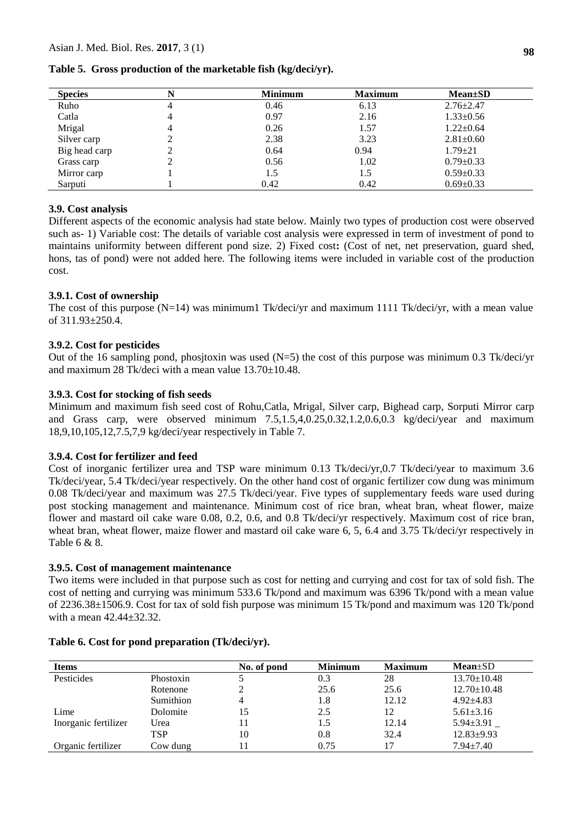| <b>Species</b> | N | <b>Minimum</b> | <b>Maximum</b> | $Mean \pm SD$   |
|----------------|---|----------------|----------------|-----------------|
| Ruho           | 4 | 0.46           | 6.13           | $2.76 \pm 2.47$ |
| Catla          | 4 | 0.97           | 2.16           | $1.33 \pm 0.56$ |
| Mrigal         | 4 | 0.26           | 1.57           | $1.22 \pm 0.64$ |
| Silver carp    | ∠ | 2.38           | 3.23           | $2.81 \pm 0.60$ |
| Big head carp  | ∠ | 0.64           | 0.94           | $1.79 \pm 21$   |
| Grass carp     | ∠ | 0.56           | 1.02           | $0.79 \pm 0.33$ |
| Mirror carp    |   | 1.5            | 1.5            | $0.59 \pm 0.33$ |
| Sarputi        |   | 0.42           | 0.42           | $0.69 \pm 0.33$ |

## **Table 5. Gross production of the marketable fish (kg/deci/yr).**

## **3.9. Cost analysis**

Different aspects of the economic analysis had state below. Mainly two types of production cost were observed such as- 1) Variable cost: The details of variable cost analysis were expressed in term of investment of pond to maintains uniformity between different pond size. 2) Fixed cost**:** (Cost of net, net preservation, guard shed, hons, tas of pond) were not added here. The following items were included in variable cost of the production cost.

## **3.9.1. Cost of ownership**

The cost of this purpose  $(N=14)$  was minimum1 Tk/deci/yr and maximum 1111 Tk/deci/yr, with a mean value of 311.93±250.4.

#### **3.9.2. Cost for pesticides**

Out of the 16 sampling pond, phositoxin was used  $(N=5)$  the cost of this purpose was minimum 0.3 Tk/deci/yr and maximum 28 Tk/deci with a mean value  $13.70 \pm 10.48$ .

#### **3.9.3. Cost for stocking of fish seeds**

Minimum and maximum fish seed cost of Rohu,Catla, Mrigal, Silver carp, Bighead carp, Sorputi Mirror carp and Grass carp, were observed minimum 7.5,1.5,4,0.25,0.32,1.2,0.6,0.3 kg/deci/year and maximum 18,9,10,105,12,7.5,7,9 kg/deci/year respectively in Table 7.

#### **3.9.4. Cost for fertilizer and feed**

Cost of inorganic fertilizer urea and TSP ware minimum 0.13 Tk/deci/yr,0.7 Tk/deci/year to maximum 3.6 Tk/deci/year, 5.4 Tk/deci/year respectively. On the other hand cost of organic fertilizer cow dung was minimum 0.08 Tk/deci/year and maximum was 27.5 Tk/deci/year. Five types of supplementary feeds ware used during post stocking management and maintenance. Minimum cost of rice bran, wheat bran, wheat flower, maize flower and mastard oil cake ware 0.08, 0.2, 0.6, and 0.8 Tk/deci/yr respectively. Maximum cost of rice bran, wheat bran, wheat flower, maize flower and mastard oil cake ware 6, 5, 6.4 and 3.75 Tk/deci/yr respectively in Table 6 & 8.

#### **3.9.5. Cost of management maintenance**

Two items were included in that purpose such as cost for netting and currying and cost for tax of sold fish. The cost of netting and currying was minimum 533.6 Tk/pond and maximum was 6396 Tk/pond with a mean value of 2236.38±1506.9. Cost for tax of sold fish purpose was minimum 15 Tk/pond and maximum was 120 Tk/pond with a mean 42.44±32.32.

| <b>Items</b>         |           | No. of pond | <b>Minimum</b> | <b>Maximum</b> | $Mean \pm SD$     |
|----------------------|-----------|-------------|----------------|----------------|-------------------|
| Pesticides           | Phostoxin |             | 0.3            | 28             | $13.70 \pm 10.48$ |
|                      | Rotenone  |             | 25.6           | 25.6           | $12.70 \pm 10.48$ |
|                      | Sumithion |             | 1.8            | 12.12          | $4.92 + 4.83$     |
| Lime                 | Dolomite  | 15          | 2.5            | 12             | $5.61 \pm 3.16$   |
| Inorganic fertilizer | Urea      | 11          | 1.5            | 12.14          | $5.94 \pm 3.91$   |
|                      | TSP       | 10          | 0.8            | 32.4           | $12.83 \pm 9.93$  |
| Organic fertilizer   | Cow dung  |             | 0.75           | 17             | $7.94 \pm 7.40$   |

#### **Table 6. Cost for pond preparation (Tk/deci/yr).**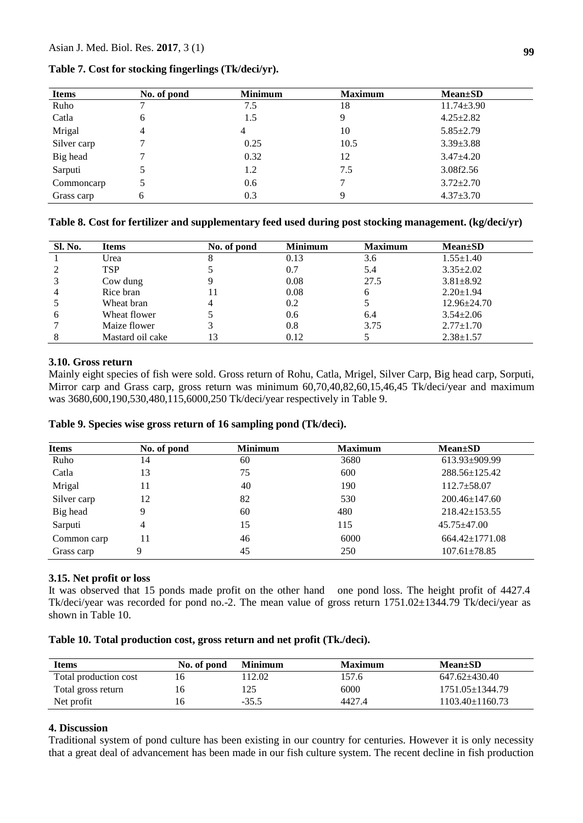| <b>Items</b> | No. of pond | <b>Minimum</b> | <b>Maximum</b> | $Mean \pm SD$    |
|--------------|-------------|----------------|----------------|------------------|
| Ruho         |             | 7.5            | 18             | $11.74 \pm 3.90$ |
| Catla        | 6           | 1.5            |                | $4.25 \pm 2.82$  |
| Mrigal       | 4           | 4              | 10             | $5.85 \pm 2.79$  |
| Silver carp  |             | 0.25           | 10.5           | $3.39 \pm 3.88$  |
| Big head     |             | 0.32           | 12             | $3.47\pm4.20$    |
| Sarputi      |             | 1.2            | 7.5            | 3.08f2.56        |
| Commoncarp   |             | 0.6            |                | $3.72 \pm 2.70$  |
| Grass carp   | 6           | 0.3            |                | $4.37 \pm 3.70$  |

## **Table 7. Cost for stocking fingerlings (Tk/deci/yr).**

## **Table 8. Cost for fertilizer and supplementary feed used during post stocking management. (kg/deci/yr)**

| <b>Sl. No.</b> | <b>Items</b>     | No. of pond | <b>Minimum</b> | <b>Maximum</b> | $Mean \pm SD$     |
|----------------|------------------|-------------|----------------|----------------|-------------------|
|                | Urea             |             | 0.13           | 3.6            | $1.55 \pm 1.40$   |
|                | <b>TSP</b>       |             | 0.7            | 5.4            | $3.35 \pm 2.02$   |
|                | Cow dung         |             | 0.08           | 27.5           | $3.81 \pm 8.92$   |
|                | Rice bran        |             | 0.08           |                | $2.20 \pm 1.94$   |
|                | Wheat bran       | 4           | 0.2            |                | $12.96 \pm 24.70$ |
| <sub>6</sub>   | Wheat flower     |             | 0.6            | 6.4            | $3.54 \pm 2.06$   |
|                | Maize flower     |             | 0.8            | 3.75           | $2.77 \pm 1.70$   |
|                | Mastard oil cake |             | 0.12           |                | $2.38 \pm 1.57$   |

#### **3.10. Gross return**

Mainly eight species of fish were sold. Gross return of Rohu, Catla, Mrigel, Silver Carp, Big head carp, Sorputi, Mirror carp and Grass carp, gross return was minimum 60,70,40,82,60,15,46,45 Tk/deci/year and maximum was 3680,600,190,530,480,115,6000,250 Tk/deci/year respectively in Table 9.

## **Table 9. Species wise gross return of 16 sampling pond (Tk/deci).**

| <b>Items</b> | No. of pond | <b>Minimum</b> | <b>Maximum</b> | $Mean \pm SD$        |
|--------------|-------------|----------------|----------------|----------------------|
| Ruho         | 14          | 60             | 3680           | 613.93±909.99        |
| Catla        | 13          | 75             | 600            | 288.56±125.42        |
| Mrigal       | 11          | 40             | 190            | $112.7 \pm 58.07$    |
| Silver carp  | 12          | 82             | 530            | $200.46 \pm 147.60$  |
| Big head     | 9           | 60             | 480            | $218.42 \pm 153.55$  |
| Sarputi      | 4           | 15             | 115            | $45.75 \pm 47.00$    |
| Common carp  | 11          | 46             | 6000           | $664.42 \pm 1771.08$ |
| Grass carp   | 9           | 45             | 250            | $107.61 \pm 78.85$   |

## **3.15. Net profit or loss**

It was observed that 15 ponds made profit on the other hand one pond loss. The height profit of 4427.4 Tk/deci/year was recorded for pond no.-2. The mean value of gross return 1751.02±1344.79 Tk/deci/year as shown in Table 10.

#### **Table 10. Total production cost, gross return and net profit (Tk./deci).**

| <b>Items</b>          | No. of pond | <b>Minimum</b> | <b>Maximum</b> | $Mean \pm SD$         |
|-----------------------|-------------|----------------|----------------|-----------------------|
| Total production cost | 16          | 112.02         | 157.6          | 647.62+430.40         |
| Total gross return    | 16          | 125            | 6000           | $1751.05 \pm 1344.79$ |
| Net profit            | 16          | $-35.5$        | 4427.4         | 1103.40±1160.73       |

## **4. Discussion**

Traditional system of pond culture has been existing in our country for centuries. However it is only necessity that a great deal of advancement has been made in our fish culture system. The recent decline in fish production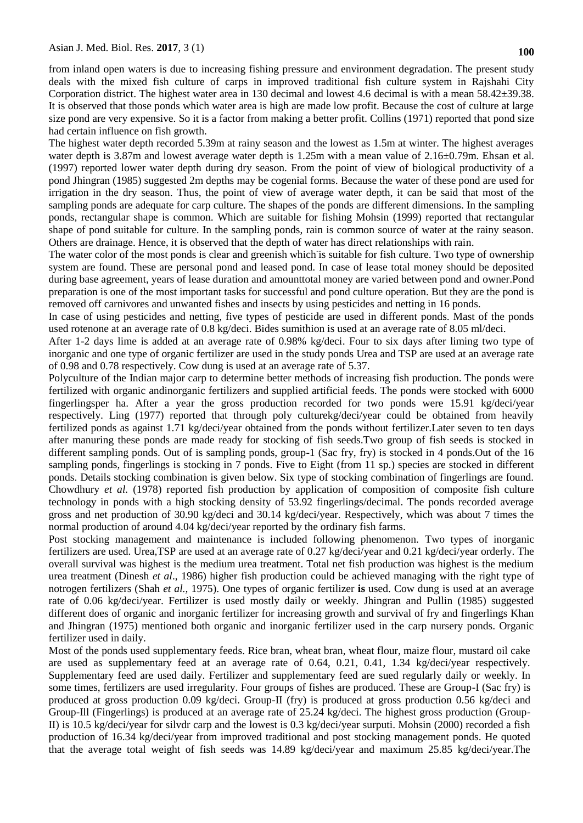from inland open waters is due to increasing fishing pressure and environment degradation. The present study deals with the mixed fish culture of carps in improved traditional fish culture system in Rajshahi City Corporation district. The highest water area in 130 decimal and lowest 4.6 decimal is with a mean 58.42±39.38. It is observed that those ponds which water area is high are made low profit. Because the cost of culture at large size pond are very expensive. So it is a factor from making a better profit. Collins (1971) reported that pond size had certain influence on fish growth.

The highest water depth recorded 5.39m at rainy season and the lowest as 1.5m at winter. The highest averages water depth is 3.87m and lowest average water depth is 1.25m with a mean value of 2.16 $\pm$ 0.79m. Ehsan et al. (1997) reported lower water depth during dry season. From the point of view of biological productivity of a pond Jhingran (1985) suggested 2m depths may be cogenial forms. Because the water of these pond are used for irrigation in the dry season. Thus, the point of view of average water depth, it can be said that most of the sampling ponds are adequate for carp culture. The shapes of the ponds are different dimensions. In the sampling ponds, rectangular shape is common. Which are suitable for fishing Mohsin (1999) reported that rectangular shape of pond suitable for culture. In the sampling ponds, rain is common source of water at the rainy season. Others are drainage. Hence, it is observed that the depth of water has direct relationships with rain.

The water color of the most ponds is clear and greenish which is suitable for fish culture. Two type of ownership system are found. These are personal pond and leased pond. In case of lease total money should be deposited during base agreement, years of lease duration and amounttotal money are varied between pond and owner.Pond preparation is one of the most important tasks for successful and pond culture operation. But they are the pond is removed off carnivores and unwanted fishes and insects by using pesticides and netting in 16 ponds.

In case of using pesticides and netting, five types of pesticide are used in different ponds. Mast of the ponds used rotenone at an average rate of 0.8 kg/deci. Bides sumithion is used at an average rate of 8.05 ml/deci.

After 1-2 days lime is added at an average rate of 0.98% kg/deci. Four to six days after liming two type of inorganic and one type of organic fertilizer are used in the study ponds Urea and TSP are used at an average rate of 0.98 and 0.78 respectively. Cow dung is used at an average rate of 5.37.

Polyculture of the Indian major carp to determine better methods of increasing fish production. The ponds were fertilized with organic andinorganic fertilizers and supplied artificial feeds. The ponds were stocked with 6000 fingerlingsper ha. After a year the gross production recorded for two ponds were 15.91 kg/deci/year respectively. Ling (1977) reported that through poly culturekg/deci/year could be obtained from heavily fertilized ponds as against 1.71 kg/deci/year obtained from the ponds without fertilizer.Later seven to ten days after manuring these ponds are made ready for stocking of fish seeds.Two group of fish seeds is stocked in different sampling ponds. Out of is sampling ponds, group-1 (Sac fry, fry) is stocked in 4 ponds.Out of the 16 sampling ponds, fingerlings is stocking in 7 ponds. Five to Eight (from 11 sp.) species are stocked in different ponds. Details stocking combination is given below. Six type of stocking combination of fingerlings are found. Chowdhury *et al.* (1978) reported fish production by application of composition of composite fish culture technology in ponds with a high stocking density of 53.92 fingerlings/decimal. The ponds recorded average gross and net production of 30.90 kg/deci and 30.14 kg/deci/year. Respectively, which was about 7 times the normal production of around 4.04 kg/deci/year reported by the ordinary fish farms.

Post stocking management and maintenance is included following phenomenon. Two types of inorganic fertilizers are used. Urea,TSP are used at an average rate of 0.27 kg/deci/year and 0.21 kg/deci/year orderly. The overall survival was highest is the medium urea treatment. Total net fish production was highest is the medium urea treatment (Dinesh *et al*., 1986) higher fish production could be achieved managing with the right type of notrogen fertilizers (Shah *et al.,* 1975). One types of organic fertilizer **is** used. Cow dung is used at an average rate of 0.06 kg/deci/year. Fertilizer is used mostly daily or weekly. Jhingran and Pullin (1985) suggested different does of organic and inorganic fertilizer for increasing growth and survival of fry and fingerlings Khan and Jhingran (1975) mentioned both organic and inorganic fertilizer used in the carp nursery ponds. Organic fertilizer used in daily.

Most of the ponds used supplementary feeds. Rice bran, wheat bran, wheat flour, maize flour, mustard oil cake are used as supplementary feed at an average rate of 0.64, 0.21, 0.41, 1.34 kg/deci/year respectively. Supplementary feed are used daily. Fertilizer and supplementary feed are sued regularly daily or weekly. In some times, fertilizers are used irregularity. Four groups of fishes are produced. These are Group-I (Sac fry) is produced at gross production 0.09 kg/deci. Group-II (fry) is produced at gross production 0.56 kg/deci and Group-Ill (Fingerlings) is produced at an average rate of 25.24 kg/deci. The highest gross production (Group-II) is 10.5 kg/deci/year for silvdr carp and the lowest is 0.3 kg/deci/year surputi. Mohsin (2000) recorded a fish production of 16.34 kg/deci/year from improved traditional and post stocking management ponds. He quoted that the average total weight of fish seeds was 14.89 kg/deci/year and maximum 25.85 kg/deci/year.The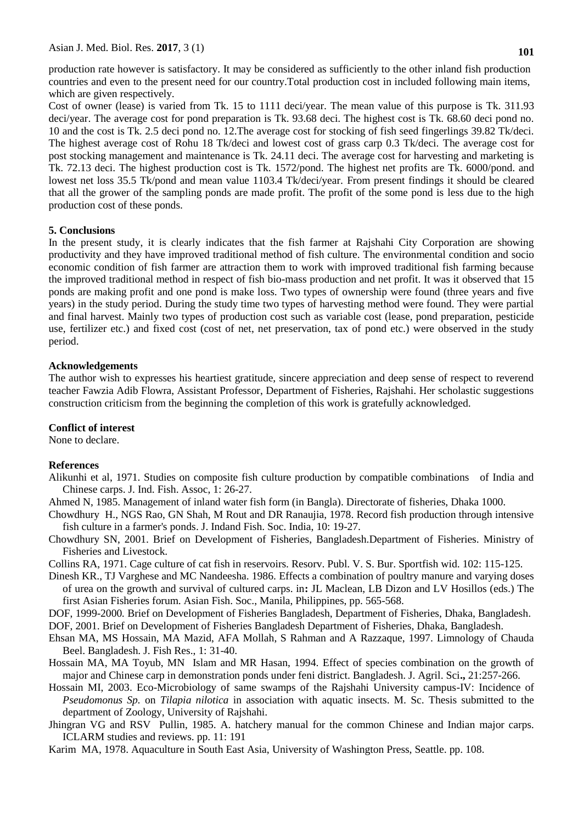Asian J. Med. Biol. Res. **2017**, 3 (1)

production rate however is satisfactory. It may be considered as sufficiently to the other inland fish production countries and even to the present need for our country.Total production cost in included following main items, which are given respectively.

Cost of owner (lease) is varied from Tk. 15 to 1111 deci/year. The mean value of this purpose is Tk. 311.93 deci/year. The average cost for pond preparation is Tk. 93.68 deci. The highest cost is Tk. 68.60 deci pond no. 10 and the cost is Tk. 2.5 deci pond no. 12.The average cost for stocking of fish seed fingerlings 39.82 Tk/deci. The highest average cost of Rohu 18 Tk/deci and lowest cost of grass carp 0.3 Tk/deci. The average cost for post stocking management and maintenance is Tk. 24.11 deci. The average cost for harvesting and marketing is Tk. 72.13 deci. The highest production cost is Tk. 1572/pond. The highest net profits are Tk. 6000/pond. and lowest net loss 35.5 Tk/pond and mean value 1103.4 Tk/deci/year. From present findings it should be cleared that all the grower of the sampling ponds are made profit. The profit of the some pond is less due to the high production cost of these ponds.

#### **5. Conclusions**

In the present study, it is clearly indicates that the fish farmer at Rajshahi City Corporation are showing productivity and they have improved traditional method of fish culture. The environmental condition and socio economic condition of fish farmer are attraction them to work with improved traditional fish farming because the improved traditional method in respect of fish bio-mass production and net profit. It was it observed that 15 ponds are making profit and one pond is make loss. Two types of ownership were found (three years and five years) in the study period. During the study time two types of harvesting method were found. They were partial and final harvest. Mainly two types of production cost such as variable cost (lease, pond preparation, pesticide use, fertilizer etc.) and fixed cost (cost of net, net preservation, tax of pond etc.) were observed in the study period.

#### **Acknowledgements**

The author wish to expresses his heartiest gratitude, sincere appreciation and deep sense of respect to reverend teacher Fawzia Adib Flowra, Assistant Professor, Department of Fisheries, Rajshahi. Her scholastic suggestions construction criticism from the beginning the completion of this work is gratefully acknowledged.

#### **Conflict of interest**

None to declare.

## **References**

- Alikunhi et al, 1971. Studies on composite fish culture production by compatible combinations of India and Chinese carps. J. Ind. Fish. Assoc, 1: 26-27.
- Ahmed N, 1985. Management of inland water fish form (in Bangla). Directorate of fisheries, Dhaka 1000.
- Chowdhury H., NGS Rao, GN Shah, M Rout and DR Ranaujia, 1978. Record fish production through intensive fish culture in a farmer's ponds. J. Indand Fish. Soc. India, 10: 19-27.
- Chowdhury SN, 2001. Brief on Development of Fisheries, Bangladesh.Department of Fisheries. Ministry of Fisheries and Livestock.
- Collins RA, 1971. Cage culture of cat fish in reservoirs. Resorv. Publ. V. S. Bur. Sportfish wid. 102: 115-125.
- Dinesh KR., TJ Varghese and MC Nandeesha. 1986. Effects a combination of poultry manure and varying doses of urea on the growth and survival of cultured carps. in**:** JL Maclean, LB Dizon and LV Hosillos (eds.) The first Asian Fisheries forum. Asian Fish. Soc., Manila, Philippines, pp. 565-568.

DOF, 1999-2000*.* Brief on Development of Fisheries Bangladesh, Department of Fisheries, Dhaka, Bangladesh.

- DOF, 2001. Brief on Development of Fisheries Bangladesh Department of Fisheries, Dhaka, Bangladesh.
- Ehsan MA, MS Hossain, MA Mazid, AFA Mollah, S Rahman and A Razzaque, 1997. Limnology of Chauda Beel. Bangladesh. J. Fish Res., 1: 31-40.
- Hossain MA, MA Toyub, MN Islam and MR Hasan, 1994. Effect of species combination on the growth of major and Chinese carp in demonstration ponds under feni district. Bangladesh. J. Agril. Sci**.,** 21:257-266.
- Hossain MI, 2003. Eco-Microbiology of same swamps of the Rajshahi University campus-IV: Incidence of *Pseudomonus Sp.* on *Tilapia nilotica* in association with aquatic insects. M. Sc. Thesis submitted to the department of Zoology, University of Rajshahi.
- Jhingran VG and [RSV Pullin, 1985. A. hatchery](http://r.s.v.pullin.1985.a.hatchery/) manual for the common Chinese and Indian major carps. ICLARM studies and reviews. pp. 11: 191
- Karim MA, 1978. Aquaculture in South East Asia, University of Washington Press, Seattle. pp. 108.